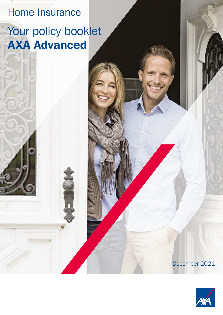# Home Insurance

# Your policy booklet AXA Advanced

December 2021

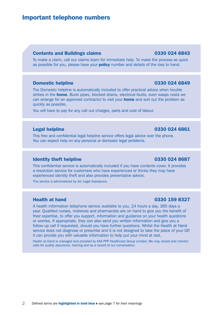### Important telephone numbers

#### Contents and Buildings claims 0330 024 6843

To make a claim, call our claims team for immediate help. To make the process as quick as possible for you, please have your **policy** number and details of the loss to hand.

#### **Domestic helpline 20330 024 6849**

The Domestic helpline is automatically included to offer practical advice when trouble strikes in the **home**. Burst pipes, blocked drains, electrical faults, even wasps nests we can arrange for an approved contractor to visit your **home** and sort out the problem as quickly as possible.

You will have to pay for any call out charges, parts and cost of labour.

#### **Legal helpline 0330 024 6861**

This free and confidential legal helpline service offers legal advice over the phone. You can expect help on any personal or domestic legal problems.

#### Identity theft helpline 0330 024 8687

This confidential service is automatically included if you have contents cover. It provides a resolution service for customers who have experienced or thinks they may have experienced identity theft and also provides preventative advice.

This service is administered by Arc Legal Assistance.

#### Health at hand 0330 159 8327

A health information telephone service available to you, 24 hours a day, 365 days a year. Qualified nurses, midwives and pharmacists are on hand to give you the benefit of their expertise, to offer you support, information and guidance on your health questions or worries. If appropriate, they can also send you written information and give you a follow-up call if requested, should you have further questions. Whilst the Health at Hand service does not diagnose or prescribe and it is not designed to take the place of your GP, it can provide you with valuable information to help put your mind at rest.

Health at Hand is managed and provided by AXA PPP Healthcare Group Limited. We may record and monitor calls for quality assurance, training and as a record of our conversation.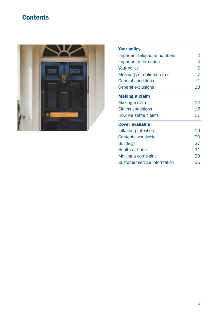## **Contents**



| <b>Your policy</b>                  |    |
|-------------------------------------|----|
| Important telephone numbers         | 2  |
| Important information               | 4  |
| Your policy                         | 6  |
| Meanings of defined terms           | 7  |
| <b>General conditions</b>           | 11 |
| <b>General exclusions</b>           | 13 |
| <b>Making a claim</b>               |    |
| Making a claim                      | 14 |
| <b>Claims conditions</b>            | 15 |
| How we settle claims                | 17 |
| <b>Cover available</b>              |    |
| Inflation protection                | 19 |
| <b>Contents worldwide</b>           | 20 |
| <b>Buildings</b>                    | 27 |
| Health at hand                      | 31 |
| Making a complaint                  | 33 |
| <b>Customer service information</b> | 35 |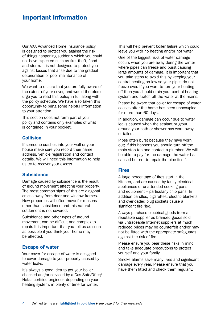### Important information

Our AXA Advanced Home Insurance policy is designed to protect you against the risk of things happening suddenly which you could not have expected such as fire, theft, flood and storm. It is not designed to protect you against losses that arise due to the gradual deterioration or poor maintenance of your home.

We want to ensure that you are fully aware of the extent of your cover, and would therefore urge you to read this policy in full along with the policy schedule. We have also taken this opportunity to bring some helpful information to your attention.

This section does not form part of your policy and contains only examples of what is contained in your booklet.

#### Collision

If someone crashes into your wall or your house make sure you record their name, address, vehicle registration and contact details. We will need this information to help us try to recover your excess.

#### **Subsidence**

Damage caused by subsidence is the result of ground movement affecting your property. The most common signs of this are diagonal cracks away from door and window frames. New properties will often move for reasons other than subsidence and this natural settlement is not covered.

Subsidence and other types of ground movement can be difficult and complex to repair. It is important that you tell us as soon as possible if you think your home may be affected.

#### Escape of water

Your cover for escape of water is designed to cover damage to your property caused by water leaks.

It's always a good idea to get your boiler checked and/or serviced by a Gas Safe/Oftec/ Hetas certified engineer, depending on your heating system, in plenty of time for winter.

This will help prevent boiler failure which could leave you with no heating and/or hot water.

One of the biggest risks of water damage occurs when you are away during the winter where pipes can freeze and burst causing large amounts of damage. It is important that you take steps to avoid this by keeping your central heating on low so your pipes do not freeze over. If you want to turn your heating off then you should drain your central heating system and switch off the water at the mains.

Please be aware that cover for escape of water ceases after the home has been unoccupied for more than 60 days.

In addition, damage can occur due to water leaks caused when the sealant or grout around your bath or shower has worn away or failed.

Pipes often burst because they have worn out; if this happens you should turn off the main stop tap and contact a plumber. We will be able to pay for the damage the water has caused but not to repair the pipe itself.

#### Fires

A large percentage of fires start in the kitchen, and are caused by faulty electrical appliances or unattended cooking pans and equipment – particularly chip pans. In addition candles, cigarettes, electric blankets and overloaded plug sockets cause a significant fire risk.

Always purchase electrical goods from a reputable supplier as branded goods sold via untraceable Internet suppliers at much reduced prices may be counterfeit and/or may not be fitted with the appropriate safeguards against the risk of fire.

Please ensure you bear these risks in mind and take adequate precautions to protect yourself and your family.

Smoke alarms save many lives and significant damage every year. Please ensure that you have them fitted and check them regularly.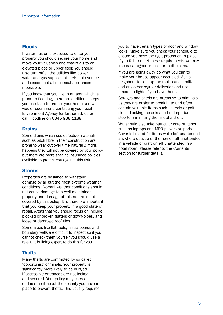#### Floods

If water has or is expected to enter your property you should secure your home and move your valuables and essentials to an elevated place or upper floor. You should also turn off all the utilities like power, water and gas supplies at their main source and disconnect all electrical appliances if possible.

If you know that you live in an area which is prone to flooding, there are additional steps you can take to protect your home and we would recommend contacting your local Environment Agency for further advice or call Floodline on 0345 988 1188.

#### **Drains**

Some drains which use defective materials such as pitch fibre in their construction are prone to wear out over time naturally. If this happens they will not be covered by your policy but there are more specific insurance policies available to protect you against this risk.

#### Storms

Properties are designed to withstand damage by all but the most extreme weather conditions. Normal weather conditions should not cause damage to a well maintained property and damage of this nature is not covered by this policy. It is therefore important that you keep your property in a good state of repair. Areas that you should focus on include blocked or broken gutters or down-pipes, and loose or damaged roof tiles.

Some areas like flat roofs, fascia boards and boundary walls are difficult to inspect so if you cannot check them yourself you should use a relevant building expert to do this for you.

#### **Thefts**

Many thefts are committed by so called 'opportunist' criminals. Your property is significantly more likely to be burgled if accessible entrances are not locked and secured. Your policy may carry an endorsement about the security you have in place to prevent thefts. This usually requires you to have certain types of door and window locks. Make sure you check your schedule to ensure you have the right protection in place. If you fail to meet these requirements we may impose a higher excess for theft claims.

If you are going away do what you can to make your house appear occupied. Ask a neighbour to pick up the mail, cancel milk and any other regular deliveries and use timers on lights if you have them.

Garages and sheds are attractive to criminals as they are easier to break in to and often contain valuable items such as tools or golf clubs. Locking these is another important step to minimising the risk of a theft.

You should also take particular care of items such as laptops and MP3 players or ipods. Cover is limited for items while left unattended anywhere outside of the home, left unattended in a vehicle or craft or left unattended in a hotel room. Please refer to the Contents section for further details.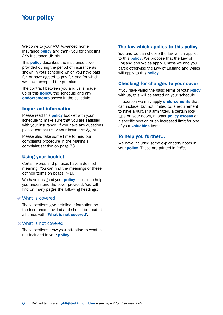### Your policy

Welcome to your AXA Advanced home insurance **policy** and thank you for choosing AXA Insurance UK plc.

This **policy** describes the insurance cover provided during the period of insurance as shown in your schedule which you have paid for, or have agreed to pay for, and for which we have accepted the premium.

The contract between you and us is made up of this **policy**, the schedule and any endorsements shown in the schedule.

#### Important information

Please read this **policy** booklet with your schedule to make sure that you are satisfied with your insurance. If you have any questions please contact us or your Insurance Agent.

Please also take some time to read our complaints procedure in the Making a complaint section on page 33.

#### Using your booklet

Certain words and phrases have a defined meaning. You can find the meanings of these defined terms on pages 7–10.

We have designed your **policy** booklet to help you understand the cover provided. You will find on many pages the following headings:

#### What is covered

These sections give detailed information on the insurance provided and should be read at all times with 'What is not covered'.

#### What is not covered

These sections draw your attention to what is not included in your policy.

#### The law which applies to this policy

You and we can choose the law which applies to this **policy**. We propose that the Law of England and Wales apply. Unless we and you agree otherwise the Law of England and Wales will apply to this **policy**.

#### Checking for changes to your cover

If you have varied the basic terms of your **policy** with us, this will be stated on your schedule.

In addition we may apply **endorsements** that can include, but not limited to, a requirement to have a burglar alarm fitted, a certain lock type on your doors, a larger **policy excess** on a specific section or an increased limit for one of your **valuables** items.

#### To help you further…

We have included some explanatory notes in your policy. These are printed in *italics*.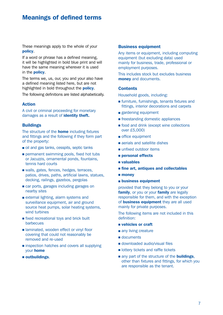### Meanings of defined terms

These meanings apply to the whole of your policy.

If a word or phrase has a defined meaning, it will be highlighted in bold blue print and will have the same meaning wherever it is used in the **policy**.

The terms we, us, our, you and your also have a defined meaning listed here, but are not highlighted in bold throughout the **policy**.

The following definitions are listed alphabetically.

#### Action

A civil or criminal proceeding for monetary damages as a result of *identity theft.* 

#### **Buildings**

The structure of the **home** including fixtures and fittings and the following if they form part of the property:

- oil and gas tanks, cesspits, septic tanks
- $\blacksquare$  permanent swimming pools, fixed hot tubs or Jacuzzis, ornamental ponds, fountains, tennis hard courts
- valls, gates, fences, hedges, terraces, patios, drives, paths, artificial lawns, statues, decking, railings, gazebos, pergolas
- car ports, garages including garages on nearby sites
- $\blacksquare$  external lighting, alarm systems and surveillance equipment, air and ground source heat pumps, solar heating systems, wind turbines
- $\blacksquare$  fixed recreational toys and brick built barbecues
- laminated, wooden effect or vinyl floor covering that could not reasonably be removed and re-used
- $\blacksquare$  inspection hatches and covers all supplying your home
- **n** outbuildings.

#### Business equipment

Any items or equipment, including computing equipment (but excluding data) used mainly for business, trade, professional or employment purposes.

This includes stock but excludes business money and documents.

#### **Contents**

Household goods, including:

- $\blacksquare$  furniture, furnishings, tenants fixtures and fittings, interior decorations and carpets
- gardening equipment
- **n** freestanding domestic appliances
- $\blacksquare$  food and drink (except wine collections over £5,000)
- office equipment
- **n** aerials and satellite dishes
- unfixed outdoor items
- **n** personal effects
- <sup>n</sup> valuables
- fine art, antiques and collectables
- $\blacksquare$  money
- **n** business equipment

provided that they belong to you or your family, or you or your family are legally responsible for them, and with the exception of business equipment they are all used mainly for private purposes.

The following items are not included in this definition:

- **n** vehicles or craft
- any living creature
- documents
- downloaded audio/visual files
- **n** lottery tickets and raffle tickets
- n any part of the structure of the **buildings**. other than fixtures and fittings, for which you are responsible as the tenant.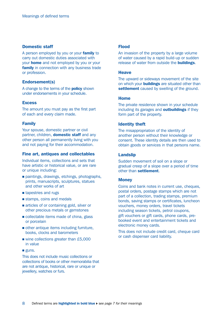#### Domestic staff

A person employed by you or your **family** to carry out domestic duties associated with your **home** and not employed by you or your **family** in connection with any business trade or profession.

#### Endorsement(s)

A change to the terms of the **policy** shown under endorsements in your schedule.

#### **Excess**

The amount you must pay as the first part of each and every claim made.

#### Family

Your spouse, domestic partner or civil partner, children, **domestic staff** and any other person all permanently living with you and not paying for their accommodation.

#### Fine art, antiques and collectables

Individual items, collections and sets that have artistic or historical value, or are rare or unique including:

- n paintings, drawings, etchings, photographs, prints, manuscripts, sculptures, statues and other works of art
- **n** tapestries and rugs
- stamps, coins and medals
- n articles of or containing gold, silver or other precious metals or gemstones
- collectable items made of china, glass or porcelain
- $\blacksquare$  other antique items including furniture. books, clocks and barometers
- $\blacksquare$  wine collections greater than £5,000 in value
- guns.

This does not include music collections or collections of books or other memorabilia that are not antique, historical, rare or unique or jewellery, watches or furs.

#### Flood

An invasion of the property by a large volume of water caused by a rapid build-up or sudden release of water from outside the **buildings**.

#### **Heave**

The upward or sideways movement of the site on which your **buildings** are situated other than settlement caused by swelling of the ground.

#### Home

The private residence shown in your schedule including its garages and **outbuildings** if they form part of the property.

#### Identity theft

The misappropriation of the identity of another person without their knowledge or consent. These identity details are then used to obtain goods or services in that persons name.

#### Landslip

Sudden movement of soil on a slope or gradual creep of a slope over a period of time other than settlement.

#### **Money**

Coins and bank notes in current use, cheques, postal orders, postage stamps which are not part of a collection, trading stamps, premium bonds, saving stamps or certificates, luncheon vouchers, money orders, travel tickets including season tickets, petrol coupons, gift vouchers or gift cards, phone cards, prebooked event and entertainment tickets and electronic money cards.

This does not include credit card, cheque card or cash dispenser card liability.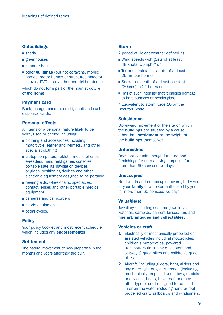#### **Outbuildings**

- $n$  sheds
- greenhouses
- **summer houses**
- other **buildings** (but not caravans, mobile homes, motor homes or structures made of canvas, PVC or any other non-rigid material).

which do not form part of the main structure of the home.

#### Payment card

Bank, charge, cheque, credit, debit and cash dispenser cards.

#### Personal effects

All items of a personal nature likely to be worn, used or carried including:

- clothing and accessories including motorcycle leather and helmets, and other specialist clothing
- $\blacksquare$  laptop computers, tablets, mobile phones, e-readers, hand held games consoles, portable satellite navigation devices or global positioning devices and other electronic equipment designed to be portable
- n hearing aids, wheelchairs, spectacles, contact lenses and other portable medical equipment
- **n** cameras and camcorders
- $\blacksquare$  sports equipment
- pedal cycles.

#### **Policy**

Your policy booklet and most recent schedule which includes any **endorsement(s)**.

#### **Settlement**

The natural movement of new properties in the months and years after they are built.

#### Storm

- A period of violent weather defined as:
- Wind speeds with gusts of at least 48 knots (55mph)\* or
- Torrential rainfall at a rate of at least 25mm per hour or
- Snow to a depth of at least one foot (30cms) in 24 hours or
- $\blacksquare$  Hail of such intensity that it causes damage to hard surfaces or breaks glass.
- \* Equivalent to storm force 10 on the Beaufort Scale.

#### **Subsidence**

Downward movement of the site on which the **buildings** are situated by a cause other than **settlement** or the weight of the **buildings** themselves.

#### Unfurnished

Does not contain enough furniture and furnishings for normal living purposes for more than 60 consecutive days.

#### Unoccupied

Not lived in and not occupied overnight by you or your **family** or a person authorised by you for more than 60 consecutive days.

#### Valuable(s)

Jewellery (including costume jewellery), watches, cameras, camera lenses, furs and fine art, antiques and collectables.

#### Vehicles or craft

- **1** Electrically or mechanically propelled or assisted vehicles including motorcycles, children's motorcycles, powered transporters (including e-scooters and segway's) quad bikes and children's quad bikes.
- 2 Aircraft (including gliders, hang gliders and any other type of glider) drones (including mechanically propelled aerial toys, models or devices), boats, hovercraft and any other type of craft designed to be used in or on the water including hand or foot propelled craft, sailboards and windsurfers.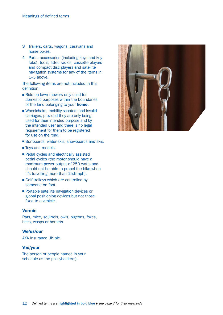- 3 Trailers, carts, wagons, caravans and horse boxes.
- 4 Parts, accessories (including keys and key fobs), tools, fitted radios, cassette players and compact disc players and satellite navigation systems for any of the items in 1–3 above.

The following items are not included in this definition:

- Ride on lawn mowers only used for domestic purposes within the boundaries of the land belonging to your **home**.
- <sup>n</sup> Wheelchairs, mobility scooters and invalid carriages, provided they are only being used for their intended purpose and by the intended user and there is no legal requirement for them to be registered for use on the road.
- Surfboards, water-skis, snowboards and skis.
- Toys and models.
- **Pedal cycles and electrically assisted** pedal cycles (the motor should have a maximum power output of 250 watts and should not be able to propel the bike when it's travelling more than 15.5mph).
- Golf trolleys which are controlled by someone on foot.
- **Portable satellite navigation devices or** global positioning devices but not those fixed to a vehicle.

#### Vermin

Rats, mice, squirrels, owls, pigeons, foxes, bees, wasps or hornets.

#### We/us/our

AXA Insurance UK plc.

#### You/your

The person or people named in your schedule as the policyholder(s).

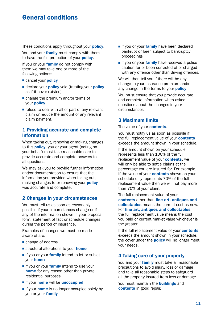### General conditions

These conditions apply throughout your **policy**.

You and your family must comply with them to have the full protection of your **policy**.

If you or your **family** do not comply with them we may take one or more of the following actions:

- cancel your **policy**
- **E** declare your **policy** void (treating your **policy** as if it never existed)
- $\blacksquare$  change the premium and/or terms of vour **policy**
- $\blacksquare$  refuse to deal with all or part of any relevant claim or reduce the amount of any relevant claim payment.

#### 1 Providing accurate and complete information

When taking out, renewing or making changes to this **policy**, you or your agent (acting on your behalf) must take reasonable care to provide accurate and complete answers to all questions.

We may ask you to provide further information and/or documentation to ensure that the information you provided when taking out, making changes to or renewing your **policy** was accurate and complete.

#### 2 Changes in your circumstances

You must tell us as soon as reasonably possible if your circumstances change or if any of the information shown in your proposal form, statement of fact or schedule changes during the period of insurance.

Examples of changes we must be made aware of are:

- $\blacksquare$  change of address
- structural alterations to your **home**
- if you or your family intend to let or sublet your home
- if you or your family intend to use your home for any reason other than private residential purposes
- **n** if your **home** will be **unoccupied**
- if your **home** is no longer occupied solely by you or your family
- If you or your family have been declared bankrupt or been subject to bankruptcy proceedings
- if you or your family have received a police caution for or been convicted of or charged with any offence other than driving offences.

We will then tell you if there will be any change to your insurance premium and/or any change in the terms to your **policy**.

You must ensure that you provide accurate and complete information when asked questions about the changes in your circumstances.

#### 3 Maximum limits

The value of your **contents**.

You must notify us as soon as possible if the full replacement value of your contents exceeds the amount shown in your schedule.

If the amount shown on your schedule represents less than 100% of the full replacement value of your **contents**, we will only be able to settle claims at the percentage you are insured for. For example, if the value of your **contents** shown on your schedule only represents 70% of the full replacement value then we will not pay more than 70% of your claim.

The full replacement value of your contents other than fine art, antiques and collectables means the current cost as new. For fine art, antiques and collectables the full replacement value means the cost you paid or current market value whichever is the greater.

If the full replacement value of your **contents** exceeds the amount shown in your schedule, the cover under the **policy** will no longer meet your needs.

#### 4 Taking care of your property

You and your family must take all reasonable precautions to avoid injury, loss or damage and take all reasonable steps to safeguard all the property insured from loss or damage.

You must maintain the **buildings** and contents in good repair.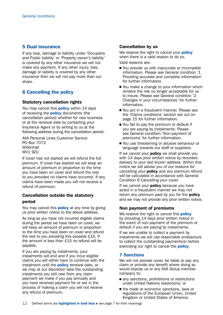#### 5 Dual insurance

If any loss, damage or liability under 'Occupiers and Public liability' or 'Property owner's liability' is covered by any other insurance we will not make any payment. If any other injury, loss, damage or liability is covered by any other insurance then we will not pay more than our share.

### 6 Cancelling the policy

#### Statutory cancellation rights

You may cancel this **policy** within 14 days of receiving the **policy** documents (the cancellation period) whether for new business or at the renewal date by contacting your Insurance Agent or by writing to us at the following address during the cancellation period:

AXA Personal Lines Customer Service PO Box 7072 **Willenhall** WV1 9ZU

If cover has not started we will refund the full premium. If cover has started we will keep an amount of premium in proportion to the time you have been on cover and refund the rest to you provided no claims have occurred. If any claims have been made you will not receive a refund of premium.

#### Cancellation outside the statutory period

You may cancel this **policy** at any time by giving us prior written notice to the above address.

As long as you have not incurred eligible claims during the period we have been on cover, we will keep an amount of premium in proportion to the time you have been on cover and refund the rest to you providing this exceeds £15. If the amount is less than £15 no refund will be payable.

If you are paying by instalments, your instalments will end and if you incur eligible claims you will either have to continue with the instalment until the **policy** renewal date, or we may at our discretion take the outstanding instalments you still owe from any claim payment we make if you pay annually and you have received payment for or are in the process of making a claim you will not receive any refund of premium.

#### Cancellation by us

We reserve the right to cancel your **policy** when there is a valid reason to do so. Valid reasons are:

■ You provide us with inaccurate or incomplete information. Please see General condition '1 Providing accurate and complete information' for further information.

- You make a change to your information which renders the risk no longer acceptable for us to insure. Please see General condition '2 Changes in your circumstances' for further information.
- You act in a fraudulent manner. Please see the 'Claims conditions' section set out on page 15 for further information.
- You fail to pay the premium or default if you are paying by instalments. Please see General condition 'Non-payment of premiums' for further information.
- You use threatening or abusive behaviour or language towards our staff or suppliers.

If we cancel your **policy** we shall provide you with 14 days prior written notice by recorded delivery to your last known address. Within this notice we will advise you of our reasons for cancelling your **policy** and any premium refund will be calculated in accordance with General Condition 6 Cancelling your cover.

If we cancel your **policy** because you have acted in a fraudulent manner we may not return any premium paid by you for the **policy** and we may not provide any prior written notice.

#### Non payment of premiums

We reserve the right to cancel this **policy** by providing 14 days prior written notice in the event of non-payment of the premium or default if you are paying by instalments.

If we are unable to collect a payment by instalments we will use reasonable endeavours to collect the outstanding payments(s) before exercising our right to cancel the **policy**.

#### 7 Sanctions

We will not provide cover, be liable to pay any claim or provide any benefit where doing so would expose us or any AXA Group member company to:

- $\blacksquare$  any sanctions, prohibitions or restrictions under United Nations resolutions; or
- the trade or economic sanctions, laws or regulations of the European Union, United Kingdom or United States of America.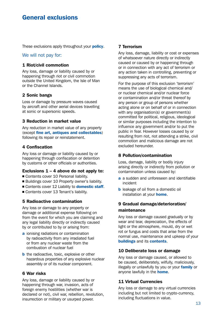### General exclusions

These exclusions apply throughout your **policy**.

#### We will not pay for:

#### 1 Riot/civil commotion

Any loss, damage or liability caused by or happening through riot or civil commotion outside the United Kingdom, the Isle of Man or the Channel Islands.

#### 2 Sonic bangs

Loss or damage by pressure waves caused by aircraft and other aerial devices travelling at sonic or supersonic speeds.

#### 3 Reduction in market value

Any reduction in market value of any property (except fine art, antiques and collectables) following its repair or reinstatement.

#### 4 Confiscation

Any loss or damage or liability caused by or happening through confiscation or detention by customs or other officials or authorities.

#### Exclusions  $1 - 4$  above do not apply to:

- Contents cover 10 Personal liability.
- Buildings cover 10 Property owner's liability.
- Contents cover 12 Liability to **domestic staff.**
- Contents cover 13 Tenant's liability.

#### 5 Radioactive contamination

Any loss or damage to any property or damage or additional expense following on from the event for which you are claiming and any legal liability directly or indirectly caused by or contributed to by or arising from:

- **a** ionising radiations or contamination by radioactivity from any irradiated fuel or from any nuclear waste from the combustion of nuclear fuel
- **b** the radioactive, toxic, explosive or other hazardous properties of any explosive nuclear assembly or of its nuclear component.

#### 6 War risks

Any loss, damage or liability caused by or happening through war, invasion, acts of foreign enemy hostilities (whether war is declared or not), civil war, rebellion, revolution, insurrection or military or usurped power.

#### 7 Terrorism

Any loss, damage, liability or cost or expenses of whatsoever nature directly or indirectly caused or caused by or happening through or in connection with any act of terrorism or any action taken in controlling, preventing or suppressing any acts of terrorism.

For the purpose of this exclusion 'terrorism' means the use of biological chemical and/ or nuclear chemical and/or nuclear force or contamination and/or threat thereof by any person or group of persons whether acting alone or on behalf of or in connection with any organisation(s) or government(s) committed for political, religious, ideological or similar purposes including the intention to influence any government and/or to put the public in fear. However losses caused by or resulting from riot, riot attending a strike, civil commotion and malicious damage are not excluded hereunder.

#### 8 Pollution/contamination

Loss, damage, liability or bodily injury arising directly or indirectly from pollution or contamination unless caused by:

- a a sudden and unforeseen and identifiable incident
- **b** leakage of oil from a domestic oil installation at your **home**.

#### 9 Gradual damage/deterioration/ maintenance

Any loss or damage caused gradually or by wear and tear, depreciation, the effects of light or the atmosphere, mould, dry or wet rot or fungus and costs that arise from the normal use, maintenance and upkeep of your buildings and its contents.

#### 10 Deliberate loss or damage

Any loss or damage caused, or allowed to be caused, deliberately, wilfully, maliciously, illegally or unlawfully by you or your family or anyone lawfully in the **home**.

#### 11 Virtual Currencies

Any loss or damage to any virtual currencies including but not limited to crypto-currency, including fluctuations in value.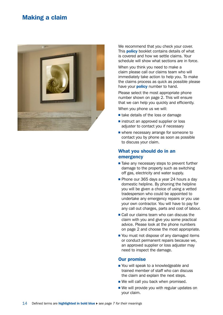### Making a claim



We recommend that you check your cover. This **policy** booklet contains details of what is covered and how we settle claims. Your schedule will show what sections are in force.

When you think you need to make a claim please call our claims team who will immediately take action to help you. To make the claims process as quick as possible please have your **policy** number to hand.

Please select the most appropriate phone number shown on page 2. This will ensure that we can help you quickly and efficiently. When you phone us we will:

 $\blacksquare$  take details of the loss or damage

- $\blacksquare$  instruct an approved supplier or loss adjuster to contact you if necessary
- $\blacksquare$  where necessary arrange for someone to contact you by phone as soon as possible to discuss your claim.

#### What you should do in an emergency

- $\blacksquare$  Take any necessary steps to prevent further damage to the property such as switching off gas, electricity and water supply.
- Phone our 365 days a year 24 hours a day domestic helpline. By phoning the helpline you will be given a choice of using a vetted tradesperson who could be appointed to undertake any emergency repairs or you use your own contractor. You will have to pay for any call out charges, parts and cost of labour.
- $\blacksquare$  Call our claims team who can discuss the claim with you and give you some practical advice. Please look at the phone numbers on page 2 and choose the most appropriate.
- You must not dispose of any damaged items or conduct permanent repairs because we, an approved supplier or loss adjuster may need to inspect the damage.

#### Our promise

- You will speak to a knowledgeable and trained member of staff who can discuss the claim and explain the next steps.
- $\blacksquare$  We will call you back when promised.
- $\blacksquare$  We will provide you with regular updates on your claim.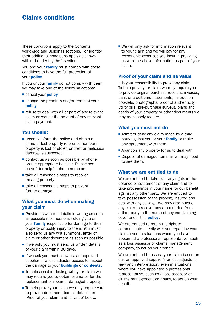### Claims conditions

These conditions apply to the Contents worldwide and Buildings sections. For Identity theft additional conditions apply as shown within the Identity theft section.

You and your family must comply with these conditions to have the full protection of your policy.

If you or your **family** do not comply with them we may take one of the following actions:

- cancel your **policy**
- $\blacksquare$  change the premium and/or terms of your policy
- $\blacksquare$  refuse to deal with all or part of any relevant claim or reduce the amount of any relevant claim payment.

#### You should:

- $\blacksquare$  urgently inform the police and obtain a crime or lost property reference number if property is lost or stolen or theft or malicious damage is suspected
- $\blacksquare$  contact us as soon as possible by phone on the appropriate helpline. Please see page 2 for helpful phone numbers.
- $\blacksquare$  take all reasonable steps to recover missing property
- $\blacksquare$  take all reasonable steps to prevent further damage.

#### What you must do when making your claim

- $\blacksquare$  Provide us with full details in writing as soon as possible if someone is holding you or your family responsible for damage to their property or bodily injury to them. You must also send us any writ summons, letter of claim or other document as soon as possible.
- $\blacksquare$  If we ask, you must send us written details of your claim within 30 days.
- $\blacksquare$  If we ask you must allow us, an approved supplier or a loss adjuster access to inspect the damage to your **buildings** or **contents.**
- $\blacksquare$  To help assist in dealing with your claim we may require you to obtain estimates for the replacement or repair of damaged property.
- $\blacksquare$  To help prove your claim we may require you to provide documentation as detailed in 'Proof of your claim and its value' below.

 $\blacksquare$  We will only ask for information relevant to your claim and we will pay for any reasonable expenses you incur in providing us with the above information as part of your claim.

#### Proof of your claim and its value

It is your responsibility to prove any claim. To help prove your claim we may require you to provide original purchase receipts, invoices, bank or credit card statements, instruction booklets, photographs, proof of authenticity, utility bills, pre-purchase surveys, plans and deeds of your property or other documents we may reasonably require.

#### What you must not do

- Admit or deny any claim made by a third party against you or your **family** or make any agreement with them.
- $\blacksquare$  Abandon any property for us to deal with.
- $\blacksquare$  Dispose of damaged items as we may need to see them.

#### What we are entitled to do

We are entitled to take over any rights in the defence or settlement of any claim and to take proceedings in your name for our benefit against any other party. We are entitled to take possession of the property insured and deal with any salvage. We may also pursue any claim to recover any amount due from a third party in the name of anyone claiming cover under this **policy**.

We are entitled to retain the right to communicate directly with you regarding your claim, even in situations where you have appointed a professional representative, such as a loss assessor or claims management company, to act on your behalf.

We are entitled to assess your claim based on our, an approved supplier's or loss adjuster's view and interpretation, even in situations where you have appointed a professional representative, such as a loss assessor or claims management company, to act on your behalf.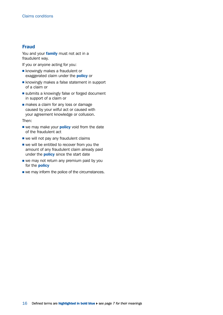#### Fraud

You and your family must not act in a fraudulent way.

If you or anyone acting for you:

- $\blacksquare$  knowingly makes a fraudulent or exaggerated claim under the **policy** or
- $\blacksquare$  knowingly makes a false statement in support of a claim or
- $\blacksquare$  submits a knowingly false or forged document in support of a claim or
- $\blacksquare$  makes a claim for any loss or damage caused by your wilful act or caused with your agreement knowledge or collusion.

Then:

- we may make your **policy** void from the date of the fraudulent act
- $\blacksquare$  we will not pay any fraudulent claims
- $\blacksquare$  we will be entitled to recover from you the amount of any fraudulent claim already paid under the **policy** since the start date
- $\blacksquare$  we may not return any premium paid by you for the **policy**
- $\blacksquare$  we may inform the police of the circumstances.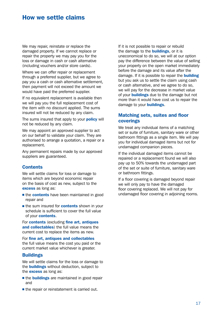### How we settle claims

We may repair, reinstate or replace the damaged property. If we cannot replace or repair the property we may pay you for the loss or damage in cash or cash alternative (including vouchers and/or store cards).

Where we can offer repair or replacement through a preferred supplier, but we agree to pay you a cash or cash alternative settlement, then payment will not exceed the amount we would have paid the preferred supplier.

If no equivalent replacement is available then we will pay you the full replacement cost of the item with no discount applied. The sums insured will not be reduced by any claim.

The sums insured that apply to your **policy** will not be reduced by any claim.

We may appoint an approved supplier to act on our behalf to validate your claim. They are authorised to arrange a quotation, a repair or a replacement.

Any permanent repairs made by our approved suppliers are guaranteed.

#### **Contents**

We will settle claims for loss or damage to items which are beyond economic repair on the basis of cost as new, subject to the excess as long as:

- the contents have been maintained in good repair and
- **n** the sum insured for **contents** shown in your schedule is sufficient to cover the full value of your contents.

For **contents** (excluding fine art, antiques and collectables) the full value means the current cost to replace the items as new.

For fine art, antiques and collectables the full value means the cost you paid or the current market value whichever is greater.

#### **Buildings**

We will settle claims for the loss or damage to the **buildings** without deduction, subject to the **excess** as long as:

- the **buildings** are maintained in good repair and
- $\blacksquare$  the repair or reinstatement is carried out.

If it is not possible to repair or rebuild the damage to the **buildings**, or it is uneconomical to do so, we will at our option pay the difference between the value of selling your property on the open market immediately before the damage and its value after the damage. If it is possible to repair the **building** but you ask us to settle the claim using cash or cash alternative, and we agree to do so, we will pay for the decrease in market value of your **buildings** due to the damage but not more than it would have cost us to repair the damage to your **buildings**.

#### Matching sets, suites and floor coverings

We treat any individual items of a matching set or suite of furniture, sanitary ware or other bathroom fittings as a single item. We will pay you for individual damaged items but not for undamaged companion pieces.

If the individual damaged items cannot be repaired or a replacement found we will also pay up to 50% towards the undamaged part of the set or suite of furniture, sanitary ware or bathroom fittings.

If a floor covering is damaged beyond repair we will only pay to have the damaged floor covering replaced. We will not pay for undamaged floor covering in adjoining rooms.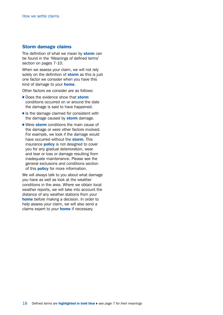#### Storm damage claims

The definition of what we mean by storm can be found in the 'Meanings of defined terms' section on pages 7-10.

When we assess your claim, we will not rely solely on the definition of **storm** as this is just one factor we consider when you have this kind of damage to your **home**.

Other factors we consider are as follows:

- Does the evidence show that **storm** conditions occurred on or around the date the damage is said to have happened.
- $\blacksquare$  Is the damage claimed for consistent with the damage caused by **storm** damage.
- Were storm conditions the main cause of the damage or were other factors involved. For example, we look if the damage would have occurred without the **storm**. This insurance **policy** is not designed to cover you for any gradual deterioration, wear and tear or loss or damage resulting from inadequate maintenance. Please see the general exclusions and conditions section of this **policy** for more information.

We will always talk to you about what damage you have as well as look at the weather conditions in the area. Where we obtain local weather reports, we will take into account the distance of any weather stations from your home before making a decision. In order to help assess your claim, we will also send a claims expert to your **home** if necessary.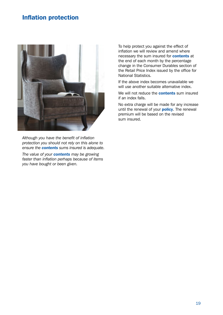### Inflation protection



*Although you have the benefit of inflation protection you should not rely on this alone to ensure the contents sums insured is adequate.*

*The value of your contents may be growing faster than inflation perhaps because of items you have bought or been given.*

To help protect you against the effect of inflation we will review and amend where necessary the sum insured for **contents** at the end of each month by the percentage change in the Consumer Durables section of the Retail Price Index issued by the office for National Statistics.

If the above index becomes unavailable we will use another suitable alternative index.

We will not reduce the **contents** sum insured if an index falls.

No extra charge will be made for any increase until the renewal of your **policy**. The renewal premium will be based on the revised sum insured.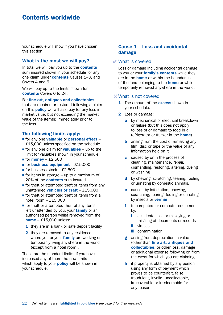### Contents worldwide

Your schedule will show if you have chosen this section.

#### What is the most we will pay?

In total we will pay you up to the **contents** sum insured shown in your schedule for any one claim under **contents** Causes 1-3, and Covers 4 and 5.

We will pay up to the limits shown for contents Covers 6 to 24.

For fine art, antiques and collectables

that are repaired or restored following a claim on this **policy** we will also pay for any loss in market value, but not exceeding the market value of the item(s) immediately prior to the loss.

#### The following limits apply:

- $\blacksquare$  for any one valuable or personal effect £15,000 unless specified on the schedule
- $\blacksquare$  for any one claim for **valuables** up to the limit for valuables shown in your schedule
- $\blacksquare$  for **money** £2,500
- $\blacksquare$  for business equipment £15,000
- $\blacksquare$  for business stock £2,500
- $\blacksquare$  for items in storage up to a maximum of 20% of the **contents** sum insured
- $\blacksquare$  for theft or attempted theft of items from any unattended vehicles or craft  $-$  £15,000
- $\blacksquare$  for theft or attempted theft of items from a hotel room  $-$  £15,000
- $\blacksquare$  for theft or attempted theft of any items left unattended by you, your family or an authorised person whilst removed from the home  $-$  £15,000 unless:
	- 1 they are in a bank or safe deposit facility
	- 2 they are removed to any residence where you or your **family** are working or temporarily living anywhere in the world (except from a hotel room).

These are the standard limits. If you have increased any of them the new limits which apply to your **policy** will be shown in your schedule.

#### Cause 1 – Loss and accidental damage

#### What is covered

Loss or damage including accidental damage to you or your **family's contents** while they are in the **home** or within the boundaries of the land belonging to the **home** or while temporarily removed anywhere in the world.

#### What is not covered

- **1** The amount of the **excess** shown in your schedule.
- 2 Loss or damage:
	- a by mechanical or electrical breakdown or failure (but this does not apply to loss of or damage to food in a refrigerator or freezer in the **home**)
	- **b** arising from the cost of remaking any film, disc or tape or the value of any information held on it
	- c caused by or in the process of cleaning, maintenance, repair, dismantling, restoring, altering, dyeing or washing
	- d by chewing, scratching, tearing, fouling or urinating by domestic animals.
	- **e** caused by infestation, chewing, scratching, tearing, fouling or urinating by insects or **vermin**
	- f to computers or computer equipment by:
		- i accidental loss or mislaying or misfiling of documents or records
		- ii viruses
		- **iii** contamination
	- g arising from depreciation in value (other than fine art, antiques and collectables) or other loss, damage or additional expense following on from the event for which you are claiming
	- **h** if property is obtained by any person using any form of payment which proves to be counterfeit, false, fraudulent, invalid, uncollectable, irrecoverable or irredeemable for any reason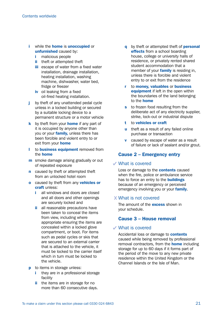- i while the **home** is **unoccupied** or unfurnished caused by:
	- i malicious people
	- **ii** theft or attempted theft
	- **iii** escape of water from a fixed water installation, drainage installation, heating installation, washing machine, dishwasher, water bed, fridge or freezer
	- iv oil leaking from a fixed oil-fired heating installation.
- j by theft of any unattended pedal cycle unless in a locked building or secured by a suitable locking device to a permanent structure or a motor vehicle
- $k$  by theft from your **home** if any part of it is occupied by anyone other than you or your family, unless there has been forcible and violent entry to or exit from your **home**
- I to **business equipment** removed from the home
- **m** smoke damage arising gradually or out of repeated exposure
- **n** caused by theft or attempted theft from an unlocked hotel room
- **o** caused by theft from any **vehicles or** craft unless:
	- i all windows and doors are closed and all doors and other openings are securely locked and
	- ii all reasonable precautions have been taken to conceal the items from view, including where appropriate ensuring the items are concealed within a locked glove compartment, or boot. For items such as pedal cycles or skis that are secured to an external carrier that is attached to the vehicle, it must be locked to the carrier itself which in turn must be locked to the vehicle.
- **p** to items in storage unless:
	- they are in a professional storage facility
	- ii the items are in storage for no more than 60 consecutive days.
- q by theft or attempted theft of **personal** effects from a school boarding house, college or university halls of residence, or privately rented shared student accommodation that a member of your **family** is residing in. unless there is forcible and violent entry to or exit from the residence
- r to money, valuables or business equipment if left in the open within the boundaries of the land belonging to the home
- s to frozen food resulting from the deliberate act of any electricity supplier, strike, lock-out or industrial dispute
- t to vehicles or craft
- u theft as a result of any failed online purchase or transaction
- **v** caused by escape of water as a result of failure or lack of sealant and/or grout.

### Cause 2 – Emergency entry

#### What is covered

Loss or damage to the **contents** caused when the fire, police or ambulance service has to force an entry to the **buildings** because of an emergency or perceived emergency involving you or your **family**.

#### What is not covered

The amount of the **excess** shown in your schedule.

#### Cause 3 – House removal

#### What is covered

Accidental loss or damage to **contents** caused while being removed by professional removal contractors, from the **home** including storage for up to 60 days if it forms part of the period of the move to any new private residence within the United Kingdom or the Channel Islands or the Isle of Man.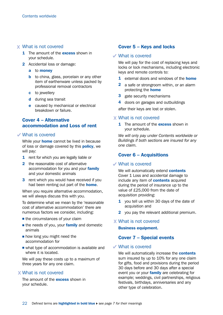#### What is not covered

- **1** The amount of the **excess** shown in your schedule.
- 2 Accidental loss or damage:
	- a to money
	- **b** to china, glass, porcelain or any other item of earthenware unless packed by professional removal contractors
	- c to jewellery
	- d during sea transit
	- e caused by mechanical or electrical breakdown or failure.

#### Cover 4 – Alternative accommodation and Loss of rent

#### What is covered

While your **home** cannot be lived in because of loss or damage covered by this **policy**, we will pay:

- 1 rent for which you are legally liable or
- 2 the reasonable cost of alternative accommodation for you and your family and your domestic animals
- **3** rent which you would have received if you had been renting out part of the **home**.

When you require alternative accommodation, we will always discuss this with you.

To determine what we mean by the 'reasonable cost of alternative accommodation' there are numerous factors we consider, including:

- $\blacksquare$  the circumstances of your claim
- $\blacksquare$  the needs of you, your **family** and domestic animals
- $\blacksquare$  how long you might need the accommodation for
- $\blacksquare$  what type of accommodation is available and where it is located.

We will pay these costs up to a maximum of three years for any one claim.

#### What is not covered

The amount of the **excess** shown in your schedule.

#### Cover 5 – Keys and locks

#### What is covered

We will pay for the cost of replacing keys and locks or lock mechanisms, including electronic keys and remote controls to:

- **1** external doors and windows of the **home**
- 2 a safe or strongroom within, or an alarm protecting the **home**
- 3 gate security mechanisms
- 4 doors on garages and outbuildings

after their keys are lost or stolen.

#### What is not covered

**1** The amount of the **excess** shown in your schedule.

*We will only pay under Contents worldwide or Buildings if both sections are insured for any one claim.*

#### Cover 6 – Acquisitions

#### What is covered

We will automatically extend **contents** Cover 1 Loss and accidental damage to include any item of **contents** acquired during the period of insurance up to the value of £25,000 from the date of acquisition providing:

- 1 you tell us within 30 days of the date of acquisition and
- 2 you pay the relevant additional premium.

#### What is not covered

Business equipment.

#### Cover 7 – Special events

#### What is covered

We will automatically increase the **contents** sum insured by up to 10% for any one claim for gifts, food and provisions during the period 30 days before and 30 days after a special event you or your **family** are celebrating for example; weddings, civil partnerships, religious festivals, birthdays, anniversaries and any other type of celebration.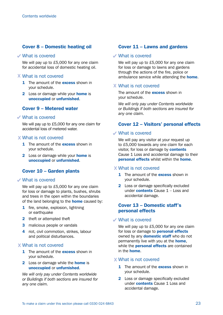#### Cover 8 – Domestic heating oil

#### What is covered

We will pay up to £5,000 for any one claim for accidental loss of domestic heating oil.

#### What is not covered

- **1** The amount of the **excess** shown in your schedule.
- **2** Loss or damage while your **home** is unoccupied or unfurnished.

#### Cover 9 – Metered water

#### What is covered

We will pay up to £5,000 for any one claim for accidental loss of metered water.

#### What is not covered

- 1 The amount of the **excess** shown in your schedule.
- **2** Loss or damage while your **home** is unoccupied or unfurnished.

#### Cover 10 – Garden plants

#### What is covered

We will pay up to £5,000 for any one claim for loss or damage to plants, bushes, shrubs and trees in the open within the boundaries of the land belonging to the **home** caused by:

- 1 fire, smoke, explosion, lightning or earthquake
- 2 theft or attempted theft
- **3** malicious people or vandals
- 4 riot, civil commotion, strikes, labour and political disturbances.

#### What is not covered

- **1** The amount of the **excess** shown in your schedule.
- **2** Loss or damage while the **home** is unoccupied or unfurnished.

*We will only pay under Contents worldwide or Buildings if both sections are insured for any one claim.*

#### Cover 11 – Lawns and gardens

#### What is covered

We will pay up to £5,000 for any one claim for loss or damage to lawns and gardens through the actions of the fire, police or ambulance service while attending the **home**.

#### What is not covered

The amount of the **excess** shown in your schedule.

*We will only pay under Contents worldwide or Buildings if both sections are insured for any one claim.*

#### Cover 12 – Visitors' personal effects

#### What is covered

We will pay any visitor at your request up to £5,000 towards any one claim for each visitor, for loss or damage by **contents** Cause 1 Loss and accidental damage to their personal effects whilst within the home.

#### What is not covered

- **1** The amount of the **excess** shown in your schedule.
- 2 Loss or damage specifically excluded under **contents** Cause 1 – Loss and accidental damage.

#### Cover 13 – Domestic staff's personal effects

#### What is covered

We will pay up to £5,000 for any one claim for loss or damage to **personal effects** owned by any **domestic staff** who do not permanently live with you at the **home**, while the **personal effects** are contained in the home.

#### What is not covered

- **1** The amount of the **excess** shown in your schedule.
- 2 Loss or damage specifically excluded under **contents** Cause 1 Loss and accidental damage.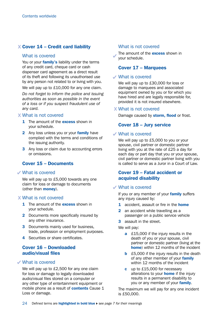### $X$  Cover 14 – Credit card liability

#### What is covered

You or your **family's** liability under the terms of any credit card, cheque card or cash dispenser card agreement as a direct result of its theft and following its unauthorised use by any person not related to or living with you.

We will pay up to £10,000 for any one claim.

*Do not forget to inform the police and issuing authorities as soon as possible in the event of a loss or if you suspect fraudulent use of any card.*

#### What is not covered

- **1** The amount of the **excess** shown in your schedule.
- 2 Any loss unless you or your family have complied with the terms and conditions of the issuing authority.
- **3** Any loss or claim due to accounting errors or omissions.

#### Cover 15 – Documents

#### What is covered

We will pay up to £5,000 towards any one claim for loss or damage to documents (other than money).

#### What is not covered

- 1 The amount of the **excess** shown in your schedule.
- 2 Documents more specifically insured by any other insurance.
- **3** Documents mainly used for business. trade, profession or employment purposes.
- 4 Securities or share certificates.

#### Cover 16 – Downloaded audio/visual files

#### What is covered

We will pay up to £2,500 for any one claim for loss or damage to legally downloaded audio/visual files stored on a computer or any other type of entertainment equipment or mobile phone as a result of **contents** Cause 1 Loss or damage.

#### What is not covered

The amount of the **excess** shown in your schedule.

#### Cover 17 – Marquees

#### What is covered

We will pay up to £30,000 for loss or damage to marquees and associated equipment owned by you or for which you have hired and are legally responsible for, provided it is not insured elsewhere.

#### What is not covered

Damage caused by storm, flood or frost.

#### Cover 18 – Jury service

#### What is covered

We will pay up to £5,000 to you or your spouse, civil partner or domestic partner living with you at the rate of £25 a day for each day or part day that you or your spouse, civil partner or domestic partner living with you is called to serve as a Juror in a Court of Law.

#### Cover 19 – Fatal accident or acquired disability

#### What is covered

If you or any member of your **family** suffers any injury caused by:

- **1** accident, assault or fire in the **home**
- 2 an accident while travelling as a passenger on a public service vehicle
- **3** assault in the street.

We will pay:

- **a** £15,000 if the injury results in the death of you or your spouse, civil partner or domestic partner (living at the home) within 12 months of the incident
- **b** £5,000 if the injury results in the death of any other member of your family within 12 months of the incident
- c up to £15,000 for necessary alterations to your **home** if the injury results in a permanent disability to you or any member of your family.

The maximum we will pay for any one incident is £50,000.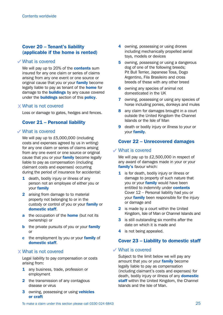#### Cover 20 – Tenant's liability (applicable if the home is rented)

#### What is covered

We will pay up to 20% of the **contents** sum insured for any one claim or series of claims arising from any one event or one source or original cause that you or your family become legally liable to pay as tenant of the **home** for damage to the **buildings** by any cause covered under the **buildings** section of this **policy**.

#### What is not covered

Loss or damage to gates, hedges and fences.

#### Cover 21 – Personal liability

#### What is covered

We will pay up to £5,000,000 (including costs and expenses agreed by us in writing) for any one claim or series of claims arising from any one event or one source or original cause that you or your family become legally liable to pay as compensation (including claimant costs and expenses) occurring during the period of insurance for accidental:

- 1 death, bodily injury or illness of any person not an employee of either you or your family
- 2 arising from damage to to material property not belonging to or in the custody or control of you or your family or domestic staff.
- a the occupation of the **home** (but not its ownership) or
- **b** the private pursuits of you or your **family** or
- c the employment by you or your family of domestic staff.

#### What is not covered

Legal liability to pay compensation or costs arising from:

- 1 any business, trade, profession or employment
- 2 the transmission of any contagious disease or virus
- **3** owning, possessing or using vehicles or craft
- 4 owning, possessing or using drones including mechanically propelled aerial toys, models or devices
- 5 owning, possessing or using a dangerous dog of one of the following breeds; Pit Bull Terrier, Japanese Tosa, Dogo Argentino, Fila Brasileiro and cross breeds of these with any other breed
- 6 owning any species of animal not domesticated in the UK
- **7** owning, possessing or using any species of horse including ponies, donkeys and mules
- 8 any claim for damages brought in a court outside the United Kingdom the Channel Islands or the Isle of Man
- 9 death or bodily injury or illness to your or your family.

#### Cover 22 – Unrecovered damages

#### What is covered

We will pay up to £2,500,000 in respect of any award of damages made in your or your family's favour which:

- 1 is for death, bodily injury or illness or damage to property of such nature that you or your family would have been entitled to indemnity under **contents** Cover 12 – Personal liability had you or your **family** been responsible for the injury or damage and
- 2 is made by a court within the United Kingdom, Isle of Man or Channel Islands and
- 3 is still outstanding six months after the date on which it is made and
- 4 is not being appealed.

#### Cover 23 – Liability to domestic staff

#### What is covered

Subject to the limit below we will pay any amount that you or your family become legally liable to pay as compensation (including claimant's costs and expenses) for death, bodily injury or illness of any **domestic** staff within the United Kingdom, the Channel Islands and the Isle of Man.

To make a claim under this section please call 0330 024 6843 25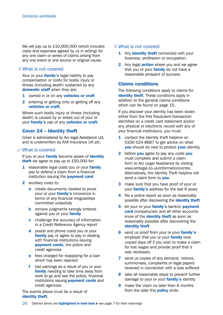We will pay up to £10,000,000 (which includes costs and expenses agreed by us in writing) for any one claim or series of claims arising from any one event or one source or original cause.

#### What is not covered

Your or your family's legal liability to pay compensation or costs for bodily injury or illness (including death) sustained by any domestic staff when they are:

- 1 carried in or on any vehicles or craft
- 2 entering or getting onto or getting off any vehicles or craft.

Where such bodily injury or illness (including death) is caused by or arises out of your or your **family's** use of any **vehicles or craft.** 

#### Cover 24 – Identity theft

Cover is administered by Arc legal Assistance Ltd, and is underwritten by AXA Insurance UK plc.

#### What is covered

If you or your **family** become aware of **identity** theft we agree to pay up to £50,000 for:

- 1 reasonable legal costs you or your family pay to defend a claim from a financial institution issuing the **payment card**
- 2 ancillary costs to:
	- **a** create documents needed to prove your or your family's innocence in terms of any financial irregularities committed unlawfully
	- **b** remove judgments wrongly entered against you or your family
	- c challenge the accuracy of information in a Credit Reference Agency report
	- d postal and phone costs you or your family pay or agree to pay in dealing with financial institutions issuing payment cards, the police and credit agencies
	- **e** fees charged for reapplying for a loan which has been rejected
	- f lost earnings as a result of you or your family needing to take time away from work to go and see the police, financial institutions issuing **payment cards** and credit agencies.

The events above must be a result of identity theft.

#### What is not covered

- 1 Any identity theft connected with your business, profession or occupation.
- 2 Any legal **action** where you and we agree that you or your **family** do not have a reasonable prospect of success.

#### Claims conditions

The following conditions apply to claims for identity theft. These conditions apply in addition to the general claims conditions which can be found on page 15.

If you discover your identity has been stolen either from the first fraudulent transaction identified on a credit card statement and/or any physical or electronic record with any of your financial institutions, you must:

- 1 contact the Identity theft helpline on 0330 024 8687 to get advice on what you should do next to protect your identity.
- 2 before you agree to pay any costs you must complete and submit a claim form to Arc Legal Assistance by visiting [www.arclegal.co.uk/informationcentre.](http://www.arclegal.co.uk/informationcentre) Alternatively, the Identity Theft helpline will send a claim form to you.
- **3** make sure that you have proof of your or your family's address for the last 6 years
- 4 file a police report as soon as reasonably possible after discovering the *identity theft*
- 5 let your or your family's bank(s) payment **card** company(ies) and all other accounts know of the **identity theft** as soon as reasonably possible after discovering the identity theft
- 6 send us proof from your or your family's employer that you or your **family** took unpaid days off if you wish to make a claim for lost wages and provide proof that it was necessary
- **7** send us copies of any demand, notices, summonses, complaints or legal papers received in connection with a loss suffered
- 8 take all reasonable steps to prevent further damage to your or your **family's** identity
- **9** make the claim no later than 6 months from the date this **policy** ends.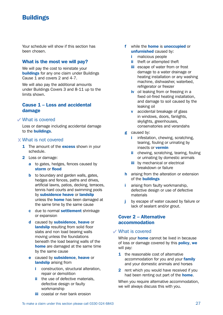## **Buildings**

Your schedule will show if this section has been chosen.

#### What is the most we will pay?

We will pay the cost to reinstate your **buildings** for any one claim under Buildings Cause 1 and covers 2 and 4-7.

We will also pay the additional amounts under Buildings Covers 3 and 8-11 up to the limits shown.

#### Cause 1 – Loss and accidental damage

#### What is covered

Loss or damage including accidental damage to the buildings.

#### What is not covered

- 1 The amount of the **excess** shown in your schedule.
- 2 Loss or damage:
	- a to gates, hedges, fences caused by storm or flood
	- **b** to boundary and garden walls, gates, hedges and fences, paths and drives, artificial lawns, patios, decking, terraces, tennis hard courts and swimming pools by subsidence heave or landslip unless the **home** has been damaged at the same time by the same cause
	- c due to normal settlement shrinkage or expansion
	- d caused by **subsidence**, heave or landslip resulting from solid floor slabs and non load bearing walls moving unless the foundations beneath the load bearing walls of the home are damaged at the same time by the same cause
	- e caused by subsidence, heave or landslip arising from
		- i construction, structural alteration. repair or demolition
		- ii the use of defective materials. defective design or faulty workmanship
		- **iii** coastal or river bank erosion
- f while the **home** is **unoccupied** or unfurnished caused by:
	- i malicious people
	- ii theft or attempted theft
	- **iii** escape of water from or frost damage to a water drainage or heating installation or any washing machine, dishwasher, waterbed, refrigerator or freezer
	- iv oil leaking from or freezing in a fixed oil-fired heating installation, and damage to soil caused by the leaking oil
	- **v** accidental breakage of glass in windows, doors, fanlights, skylights, greenhouses, conservatories and verandahs
- g caused by:
	- i infestation, chewing, scratching, tearing, fouling or urinating by insects or vermin
	- ii chewing, scratching, tearing, fouling or urinating by domestic animals
	- **iii** by mechanical or electrical breakdown or failure
- **h** arising from the alteration or extension of the buildings
- i arising from faulty workmanship, defective design or use of defective materials
- j by escape of water caused by failure or lack of sealant and/or grout.

#### Cover 2 – Alternative accommodation

#### What is covered

While your **home** cannot be lived in because of loss or damage covered by this **policy**, we will pay:

- 1 the reasonable cost of alternative accommodation for you and your **family** and your domestic animals and horses
- **2** rent which you would have received if you had been renting out part of the **home**.

When you require alternative accommodation. we will always discuss this with you.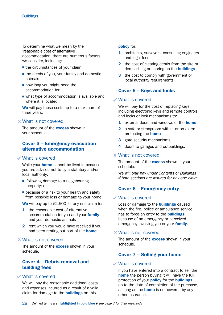To determine what we mean by the 'reasonable cost of alternative accommodation' there are numerous factors we consider, including:

- $\blacksquare$  the circumstances of your claim
- $\blacksquare$  the needs of you, your family and domestic animals
- $\blacksquare$  how long you might need the accommodation for
- $\blacksquare$  what type of accommodation is available and where it is located.

We will pay these costs up to a maximum of three years.

#### What is not covered

The amount of the **excess** shown in your schedule.

#### Cover 3 – Emergency evacuation alternative accommodation

#### What is covered

While your **home** cannot be lived in because you are advised not to by a statutory and/or local authority:

- $\blacksquare$  following damage to a neighbouring property; or
- $\blacksquare$  because of a risk to your health and safety from possible loss or damage to your home

We will pay up to £2,500 for any one claim for:

- **1** the reasonable cost of alternative accommodation for you and your family and your domestic animals
- 2 rent which you would have received if you had been renting out part of the **home**.

#### What is not covered

The amount of the **excess** shown in your schedule.

#### Cover 4 – Debris removal and building fees

#### What is covered

We will pay the reasonable additional costs and expenses incurred as a result of a valid claim for damage to the **buildings** on this

#### policy for:

- 1 architects, surveyors, consulting engineers and legal fees
- 2 the cost of clearing debris from the site or demolishing or shoring up the **buildings**
- **3** the cost to comply with government or local authority requirements.

#### Cover 5 – Keys and locks

#### What is covered

We will pay for the cost of replacing keys, including electronic keys and remote controls and locks or lock mechanisms to:

- **1** external doors and windows of the **home**
- 2 a safe or strongroom within, or an alarm protecting the home
- **3** gate security mechanisms
- 4 doors to garages and outbuildings.

#### What is not covered

The amount of the **excess** shown in your schedule.

*We will only pay under Contents or Buildings if both sections are insured for any one claim.*

#### Cover 6 – Emergency entry

#### What is covered

Loss or damage to the **buildings** caused when the fire, police or ambulance service has to force an entry to the **buildings** because of an emergency or perceived emergency involving you or your family.

#### What is not covered

The amount of the **excess** shown in your schedule.

#### Cover 7 – Selling your home

#### What is covered

If you have entered into a contract to sell the home the person buying it will have the full protection of your **policy** for the **buildings** up to the date of completion of the purchase, as long as the **home** is not covered by any other insurance.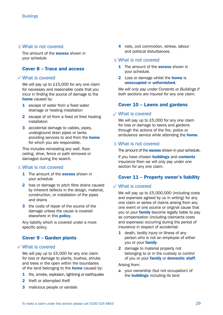#### What is not covered

The amount of the **excess** shown in your schedule

#### Cover 8 – Trace and access

#### What is covered

We will pay up to £15,000 for any one claim for necessary and reasonable costs that you incur in finding the source of damage to the home caused by:

- **1** escape of water from a fixed water drainage or heating installation
- 2 escape of oil from a fixed oil fired heating installation
- **3** accidental damage to cables, pipes, underground drain pipes or tanks providing services to and from the **home** for which you are responsible.

This includes reinstating any wall, floor, ceiling, drive, fence or path removed or damaged during the search.

#### What is not covered

- **1** The amount of the **excess** shown in your schedule
- 2 loss or damage to pitch fibre drains caused by inherent defects in the design, material, construction, or installation of the pipes and drains
- **3** the costs of repair of the source of the damage unless the cause is covered elsewhere in this **policy**.

Any liability which is covered under a more specific policy.

#### Cover 9 – Garden plants

#### What is covered

We will pay up to £5,000 for any one claim for loss or damage to plants, bushes, shrubs and trees in the open within the boundaries of the land belonging to the **home** caused by:

- 1 fire, smoke, explosion, lightning or earthquake
- 2 theft or attempted theft
- **3** malicious people or vandals

4 riots, civil commotion, strikes, labour and political disturbances.

#### What is not covered

- 1 The amount of the **excess** shown in your schedule.
- **2** Loss or damage whilst the **home** is unoccupied or unfurnished.

*We will only pay under Contents or Buildings if both sections are insured for any one claim.*

#### Cover 10 – Lawns and gardens

#### What is covered

We will pay up to £5,000 for any one claim for loss or damage to lawns and gardens through the actions of the fire, police or ambulance service while attending the **home**.

#### What is not covered

The amount of the **excess** shown in your schedule.

If you have chosen **buildings** and **contents** insurance then we will only pay under one section for any one claim.

#### Cover 11 – Property owner's liability

#### What is covered

We will pay up to £5,000,000 (including costs and expenses agreed by us in writing) for any one claim or series of claims arising from any one event or one source or original cause that you or your **family** become legally liable to pay as compensation (including claimants costs and expenses) occurring during the period of insurance in respect of accidental:

- 1 death, bodily injury or illness of any person who is not an employee of either you or your **family**
- 2 damage to material property not belonging to or in the custody or control of you or your family or domestic staff.

Arising from:

a your ownership (but not occupation) of the **buildings** including its land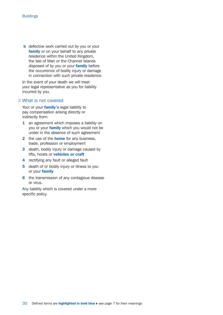**b** defective work carried out by you or your family or on your behalf to any private residence within the United Kingdom, the Isle of Man or the Channel Islands disposed of by you or your **family** before the occurrence of bodily injury or damage in connection with such private residence.

In the event of your death we will treat your legal representative as you for liability incurred by you.

#### What is not covered

Your or your family's legal liability to pay compensation arising directly or indirectly from:

- 1 an agreement which imposes a liability on you or your family which you would not be under in the absence of such agreement
- 2 the use of the **home** for any business, trade, profession or employment
- **3** death, bodily injury or damage caused by lifts, hoists or vehicles or craft
- 4 rectifying any fault or alleged fault
- 5 death of or bodily injury or illness to you or your family
- 6 the transmission of any contagious disease or virus.

Any liability which is covered under a more specific policy.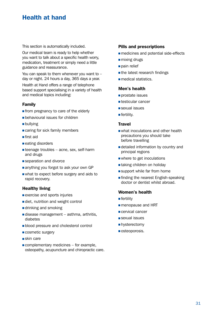## Health at hand

This section is automatically included.

Our medical team is ready to help whether you want to talk about a specific health worry, medication, treatment or simply need a little guidance and reassurance.

You can speak to them whenever you want to – day or night. 24 hours a day, 365 days a year.

Health at Hand offers a range of telephone based support specialising in a variety of health and medical topics including:

#### Family

- $\blacksquare$  from pregnancy to care of the elderly
- $\blacksquare$  behavioural issues for children
- **n** bullying
- $\blacksquare$  caring for sick family members
- $\blacksquare$  first aid
- $\blacksquare$  eating disorders
- $\blacksquare$  teenage troubles acne, sex, self-harm and drugs
- $\square$  separation and divorce
- n anything you forgot to ask your own GP
- $\blacksquare$  what to expect before surgery and aids to rapid recovery.

#### Healthy living

- $e$  exercise and sports injuries
- $\blacksquare$  diet, nutrition and weight control
- $\blacksquare$  drinking and smoking
- $\blacksquare$  disease management asthma, arthritis, diabetes
- **n** blood pressure and cholesterol control
- **cosmetic surgery**
- $\blacksquare$ skin care
- $\blacksquare$  complementary medicines for example, osteopathy, acupuncture and chiropractic care.

#### Pills and prescriptions

- <sup>n</sup> medicines and potential side-effects
- **n** mixing drugs
- pain relief
- $\blacksquare$  the latest research findings
- $\blacksquare$  medical statistics.

#### Men's health

- $\blacksquare$  prostate issues
- $\blacksquare$  testicular cancer
- $\square$  sexual issues
- $\blacksquare$  fertility.

#### **Travel**

- what inoculations and other health precautions you should take before travelling
- $\blacksquare$  detailed information by country and principal regions
- $\blacksquare$  where to get inoculations
- $\blacksquare$  taking children on holiday
- $\blacksquare$  support while far from home
- $\blacksquare$  finding the nearest English-speaking doctor or dentist whilst abroad.

#### Women's health

- $\blacksquare$  fertility
- **n** menopause and HRT
- <sup>n</sup> cervical cancer
- $\square$  sexual issues
- $\blacksquare$  hysterectomy
- $\blacksquare$  osteoporosis.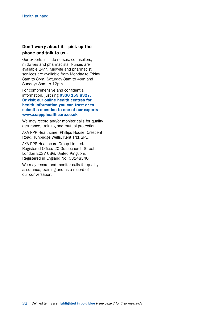### Don't worry about it – pick up the phone and talk to us…

Our experts include nurses, counsellors, midwives and pharmacists. Nurses are available 24/7. Midwife and pharmacist services are available from Monday to Friday 8am to 8pm, Saturday 8am to 4pm and Sundays 8am to 12pm.

For comprehensive and confidential information, just ring 0330 159 8327. Or visit our online health centres for health information you can trust or to submit a question to one of our experts [www.axappphealthcare.co.uk](http://www.axappphealthcare.co.uk)

We may record and/or monitor calls for quality assurance, training and mutual protection.

AXA PPP Healthcare, Phillips House, Crescent Road, Tunbridge Wells, Kent TN1 2PL.

AXA PPP Healthcare Group Limited. Registered Office: 20 Gracechurch Street, London EC3V 0BG, United Kingdom. Registered in England No. 03148346

We may record and monitor calls for quality assurance, training and as a record of our conversation.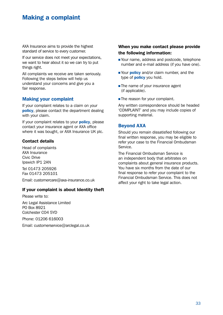## Making a complaint

AXA Insurance aims to provide the highest standard of service to every customer.

If our service does not meet your expectations, we want to hear about it so we can try to put things right.

All complaints we receive are taken seriously. Following the steps below will help us understand your concerns and give you a fair response.

#### Making your complaint

If your complaint relates to a claim on your policy, please contact the department dealing with your claim.

If your complaint relates to your **policy**, please contact your insurance agent or AXA office where it was bought, or AXA Insurance UK plc.

#### Contact details

Head of complaints AXA Insurance Civic Drive Ipswich IP1 2AN

Tel 01473 205926 Fax 01473 205101

Email: [customercare@axa-insurance.co.uk](mailto:customercare%40axa-insurance.co.uk?subject=)

#### If your complaint is about Identity theft

Please write to: Arc Legal Assistance Limited PO Box 8921 Colchester CO4 5YD Phone: 01206 616003

Email: [customerservice@arclegal.co.uk](mailto:customerservice%40arclegal.co.uk?subject=)

#### When you make contact please provide the following information:

- Your name, address and postcode, telephone number and e-mail address (if you have one).
- Nour **policy** and/or claim number, and the type of **policy** you hold.
- $\blacksquare$  The name of your insurance agent (if applicable).
- **n** The reason for your complaint.

Any written correspondence should be headed 'COMPLAINT' and you may include copies of supporting material.

#### Beyond AXA

Should you remain dissatisfied following our final written response, you may be eligible to refer your case to the Financial Ombudsman Service.

The Financial Ombudsman Service is an independent body that arbitrates on complaints about general insurance products. You have six months from the date of our final response to refer your complaint to the Financial Ombudsman Service. This does not affect your right to take legal action.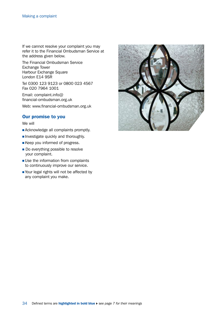If we cannot resolve your complaint you may refer it to the Financial Ombudsman Service at the address given below.

The Financial Ombudsman Service Exchange Tower Harbour Exchange Square London E14 9SR

Tel 0300 123 9123 or 0800 023 4567 Fax 020 7964 1001

Email: [complaint.info@](mailto:complaint.info%40financial-ombudsman.org.uk?subject=) [financial-ombudsman.org.uk](mailto:complaint.info%40financial-ombudsman.org.uk?subject=)

Web: [www.financial-ombudsman.org.uk](http://www.financial-ombudsman.org.uk)

#### Our promise to you

We will

- **Acknowledge all complaints promptly.**
- **n** Investigate quickly and thoroughly.
- **Example 20 Keep you informed of progress.**
- Do everything possible to resolve your complaint.
- $\square$  Use the information from complaints to continuously improve our service.
- Your legal rights will not be affected by any complaint you make.

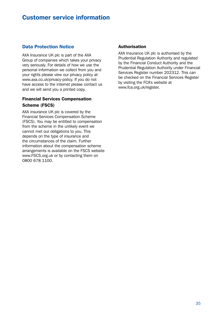### Customer service information

### Data Protection Notice

AXA Insurance UK plc is part of the AXA Group of companies which takes your privacy very seriously. For details of how we use the personal information we collect from you and your rights please view our privacy policy at [www.axa.co.uk/privacy-policy](http://www.axa.co.uk/privacy-policy). If you do not have access to the internet please contact us and we will send you a printed copy.

#### Financial Services Compensation Scheme (FSCS)

AXA insurance UK plc is covered by the Financial Services Compensation Scheme (FSCS). You may be entitled to compensation from the scheme in the unlikely event we cannot met our obligations to you. This depends on the type of insurance and the circumstances of the claim. Further information about the compensation scheme arrangements is available on the FSCS website [www.FSCS.org.uk](http://www.FSCS.org.uk) or by contacting them on 0800 678 1100.

#### Authorisation

AXA Insurance UK plc is authorised by the Prudential Regulation Authority and regulated by the Financial Conduct Authority and the Prudential Regulation Authority under Financial Services Register number 202312. This can be checked on the Financial Services Register by visiting the FCA's website at [www.fca.org.uk/register](http://www.fca.org.uk/register).